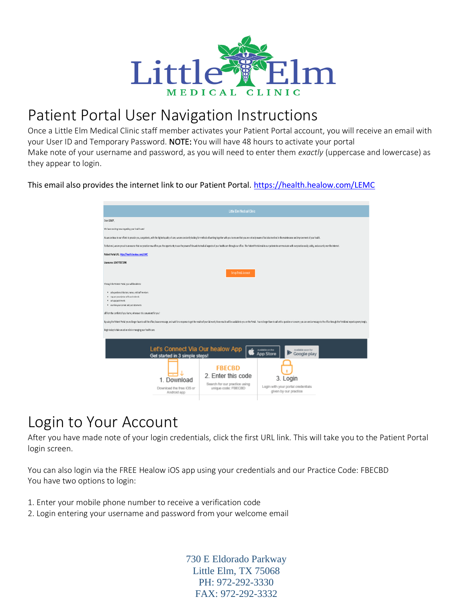

### Patient Portal User Navigation Instructions

Once a Little Elm Medical Clinic staff member activates your Patient Portal account, you will receive an email with your User ID and Temporary Password. NOTE: You will have 48 hours to activate your portal Make note of your username and password, as you will need to enter them *exactly* (uppercase and lowercase) as they appear to login.

This email also provides the internet link to our Patient Portal.<https://health.healow.com/LEMC>

| Little Elm Medical Clinic                                                                                                                                                                                                      |                                                                                             |                                                                         |  |
|--------------------------------------------------------------------------------------------------------------------------------------------------------------------------------------------------------------------------------|---------------------------------------------------------------------------------------------|-------------------------------------------------------------------------|--|
| Dear LOVEY                                                                                                                                                                                                                     |                                                                                             |                                                                         |  |
| We have exciting news regarding your health care!                                                                                                                                                                              |                                                                                             |                                                                         |  |
| As we continue in our efforts to provide you, our patients, with the highest quality of care, we are constantly looking for methods of working together with you to ensure that you are not only aware of but also involved in |                                                                                             |                                                                         |  |
| To that end, we are proud to announce that our practice now offers you the opportunity to use the power of the web to track all aspects of your health care through our office. The Patient Portal enables our patients to com |                                                                                             |                                                                         |  |
| Patient Portal URL: https://health.healow.com/LEMC                                                                                                                                                                             |                                                                                             |                                                                         |  |
| Username: LOVEYTEST1998                                                                                                                                                                                                        |                                                                                             |                                                                         |  |
| <b>Set up Portal Account</b>                                                                                                                                                                                                   |                                                                                             |                                                                         |  |
| Through the Patient Portal, you will be able to                                                                                                                                                                                |                                                                                             |                                                                         |  |
| · ask questions of doctors, nurses, and staff members<br>. request prescription refils and referrals<br>· set upappointments<br>· examine your current and past statements                                                     |                                                                                             |                                                                         |  |
| all from the comfort of your home, whenever it is convenient for you!                                                                                                                                                          |                                                                                             |                                                                         |  |
| By using the Patient Portal you no longer have to call the office, leave a message, and walt for a response to get the results of your lab work; those results will be available to you on the Portal. You no longer have to c |                                                                                             |                                                                         |  |
| Begin today to take an active role in managing your health care.                                                                                                                                                               |                                                                                             |                                                                         |  |
| Let's Connect Via Our healow App<br><b>Available on the</b><br>Available soon for<br>App Store<br>Google play<br>Get started in 3 simple steps!                                                                                |                                                                                             |                                                                         |  |
| Download<br>Download the free IOS or<br>Android app                                                                                                                                                                            | <b>FBECBD</b><br>2. Enter this code<br>Search for our practice using<br>unique code: FBECBD | 3. Login<br>Login with your portal oredentials<br>given by our practice |  |

### Login to Your Account

After you have made note of your login credentials, click the first URL link. This will take you to the Patient Portal login screen.

You can also login via the FREE Healow iOS app using your credentials and our Practice Code: FBECBD You have two options to login:

- 1. Enter your mobile phone number to receive a verification code
- 2. Login entering your username and password from your welcome email

730 E Eldorado Parkway Little Elm, TX 75068 PH: 972-292-3330 FAX: 972-292-3332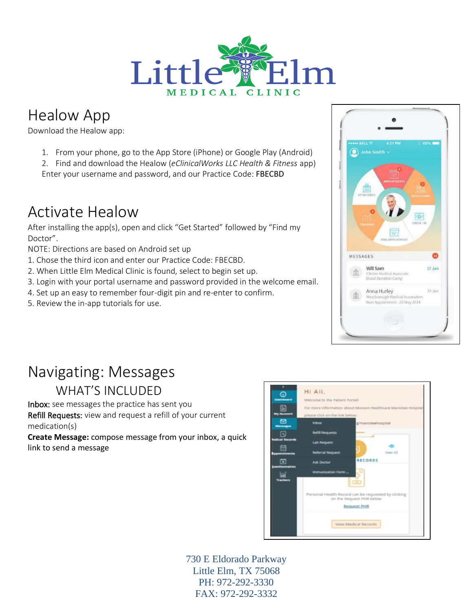

## Healow App

Download the Healow app:

- 1. From your phone, go to the App Store (iPhone) or Google Play (Android)
- 2. Find and download the Healow (*eClinicalWorks LLC Health & Fitness* app)
- Enter your username and password, and our Practice Code: FBECBD

### Activate Healow

After installing the app(s), open and click "Get Started" followed by "Find my Doctor".

NOTE: Directions are based on Android set up

- 1. Chose the third icon and enter our Practice Code: FBECBD.
- 2. When Little Elm Medical Clinic is found, select to begin set up.
- 3. Login with your portal username and password provided in the welcome email.
- 4. Set up an easy to remember four-digit pin and re-enter to confirm.
- 5. Review the in-app tutorials for use.



# Navigating: Messages

WHAT'S INCLUDED

Inbox: see messages the practice has sent you Refill Requests: view and request a refill of your current medication(s)

**Create Message:** compose message from your inbox, a quick link to send a message



730 E Eldorado Parkway Little Elm, TX 75068 PH: 972-292-3330 FAX: 972-292-3332